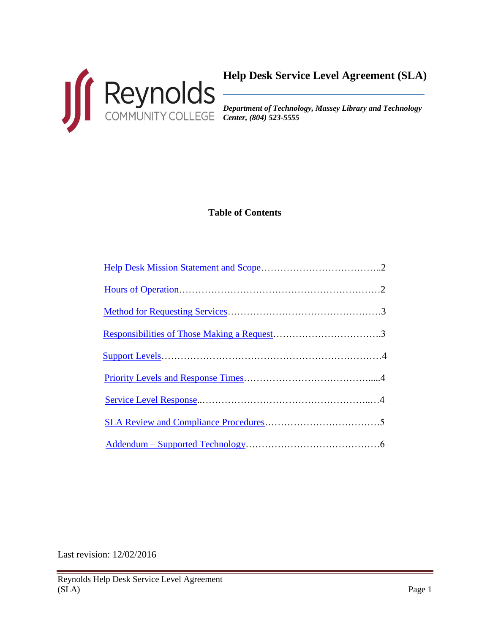

*Department of Technology, Massey Library and Technology Center, (804) 523-5555*

# **Table of Contents**

Last revision: 12/02/2016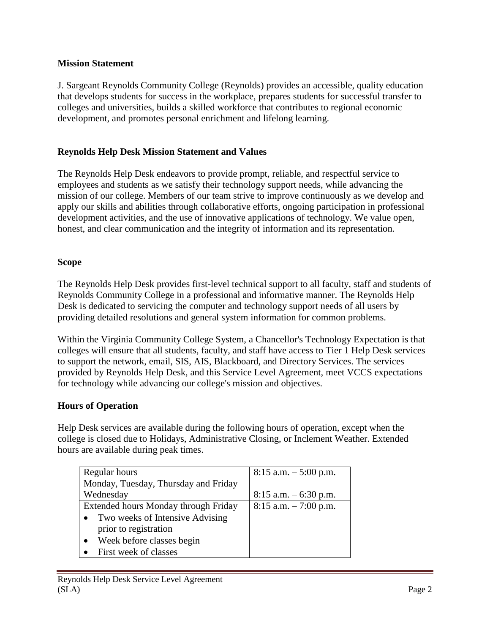### <span id="page-1-0"></span>**Mission Statement**

J. Sargeant Reynolds Community College (Reynolds) provides an accessible, quality education that develops students for success in the workplace, prepares students for successful transfer to colleges and universities, builds a skilled workforce that contributes to regional economic development, and promotes personal enrichment and lifelong learning.

# **Reynolds Help Desk Mission Statement and Values**

The Reynolds Help Desk endeavors to provide prompt, reliable, and respectful service to employees and students as we satisfy their technology support needs, while advancing the mission of our college. Members of our team strive to improve continuously as we develop and apply our skills and abilities through collaborative efforts, ongoing participation in professional development activities, and the use of innovative applications of technology. We value open, honest, and clear communication and the integrity of information and its representation.

#### **Scope**

The Reynolds Help Desk provides first-level technical support to all faculty, staff and students of Reynolds Community College in a professional and informative manner. The Reynolds Help Desk is dedicated to servicing the computer and technology support needs of all users by providing detailed resolutions and general system information for common problems.

Within the Virginia Community College System, a Chancellor's Technology Expectation is that colleges will ensure that all students, faculty, and staff have access to Tier 1 Help Desk services to support the network, email, SIS, AIS, Blackboard, and Directory Services. The services provided by Reynolds Help Desk, and this Service Level Agreement, meet VCCS expectations for technology while advancing our college's mission and objectives.

### <span id="page-1-1"></span>**Hours of Operation**

Help Desk services are available during the following hours of operation, except when the college is closed due to Holidays, Administrative Closing, or Inclement Weather. Extended hours are available during peak times.

| Regular hours                        | $8:15$ a.m. $-5:00$ p.m. |
|--------------------------------------|--------------------------|
| Monday, Tuesday, Thursday and Friday |                          |
| Wednesday                            | $8:15$ a.m. $-6:30$ p.m. |
| Extended hours Monday through Friday | $8:15$ a.m. $-7:00$ p.m. |
| Two weeks of Intensive Advising      |                          |
| prior to registration                |                          |
| Week before classes begin            |                          |
| First week of classes                |                          |
|                                      |                          |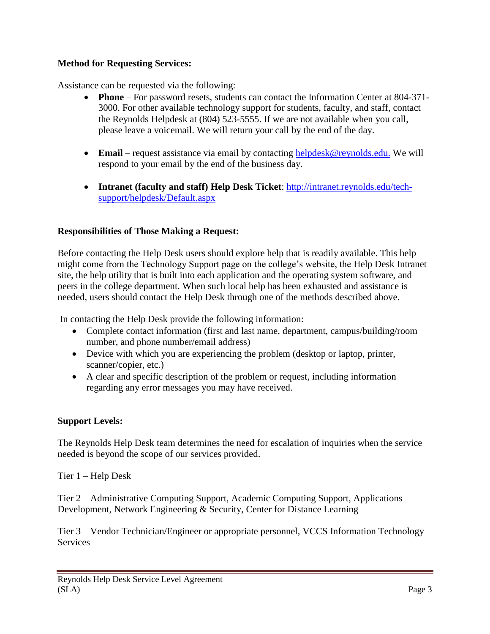## <span id="page-2-0"></span>**Method for Requesting Services:**

Assistance can be requested via the following:

- **Phone** For password resets, students can contact the Information Center at 804-371- 3000. For other available technology support for students, faculty, and staff, contact the Reynolds Helpdesk at (804) 523-5555. If we are not available when you call, please leave a voicemail. We will return your call by the end of the day.
- **Email** request assistance via email by contacting [helpdesk@reynolds.edu.](mailto:helpdesk@reynolds.edu) We will respond to your email by the end of the business day.
- **Intranet (faculty and staff) Help Desk Ticket**: [http://intranet.reynolds.edu/tech](http://intranet.reynolds.edu/tech-support/helpdesk/Default.aspx)[support/helpdesk/Default.aspx](http://intranet.reynolds.edu/tech-support/helpdesk/Default.aspx)

### <span id="page-2-1"></span>**Responsibilities of Those Making a Request:**

Before contacting the Help Desk users should explore help that is readily available. This help might come from the Technology Support page on the college's website, the Help Desk Intranet site, the help utility that is built into each application and the operating system software, and peers in the college department. When such local help has been exhausted and assistance is needed, users should contact the Help Desk through one of the methods described above.

In contacting the Help Desk provide the following information:

- Complete contact information (first and last name, department, campus/building/room number, and phone number/email address)
- Device with which you are experiencing the problem (desktop or laptop, printer, scanner/copier, etc.)
- A clear and specific description of the problem or request, including information regarding any error messages you may have received.

# <span id="page-2-2"></span>**Support Levels:**

The Reynolds Help Desk team determines the need for escalation of inquiries when the service needed is beyond the scope of our services provided.

Tier 1 – Help Desk

Tier 2 – Administrative Computing Support, Academic Computing Support, Applications Development, Network Engineering & Security, Center for Distance Learning

Tier 3 – Vendor Technician/Engineer or appropriate personnel, VCCS Information Technology Services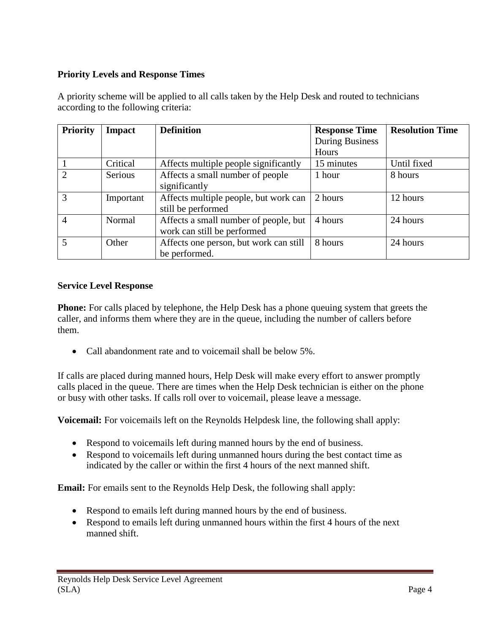# <span id="page-3-0"></span>**Priority Levels and Response Times**

| <b>Priority</b>             | Impact    | <b>Definition</b>                      | <b>Response Time</b>   | <b>Resolution Time</b> |
|-----------------------------|-----------|----------------------------------------|------------------------|------------------------|
|                             |           |                                        | <b>During Business</b> |                        |
|                             |           |                                        | Hours                  |                        |
|                             | Critical  | Affects multiple people significantly  | 15 minutes             | Until fixed            |
| $\mathcal{D}_{\mathcal{L}}$ | Serious   | Affects a small number of people       | 1 hour                 | 8 hours                |
|                             |           | significantly                          |                        |                        |
| 3                           | Important | Affects multiple people, but work can  | 2 hours                | 12 hours               |
|                             |           | still be performed                     |                        |                        |
| 4                           | Normal    | Affects a small number of people, but  | 4 hours                | 24 hours               |
|                             |           | work can still be performed            |                        |                        |
| 5                           | Other     | Affects one person, but work can still | 8 hours                | 24 hours               |
|                             |           | be performed.                          |                        |                        |

A priority scheme will be applied to all calls taken by the Help Desk and routed to technicians according to the following criteria:

#### <span id="page-3-1"></span>**Service Level Response**

**Phone:** For calls placed by telephone, the Help Desk has a phone queuing system that greets the caller, and informs them where they are in the queue, including the number of callers before them.

• Call abandonment rate and to voicemail shall be below 5%.

If calls are placed during manned hours, Help Desk will make every effort to answer promptly calls placed in the queue. There are times when the Help Desk technician is either on the phone or busy with other tasks. If calls roll over to voicemail, please leave a message.

**Voicemail:** For voicemails left on the Reynolds Helpdesk line, the following shall apply:

- Respond to voicemails left during manned hours by the end of business.
- Respond to voicemails left during unmanned hours during the best contact time as indicated by the caller or within the first 4 hours of the next manned shift.

**Email:** For emails sent to the Reynolds Help Desk, the following shall apply:

- Respond to emails left during manned hours by the end of business.
- Respond to emails left during unmanned hours within the first 4 hours of the next manned shift.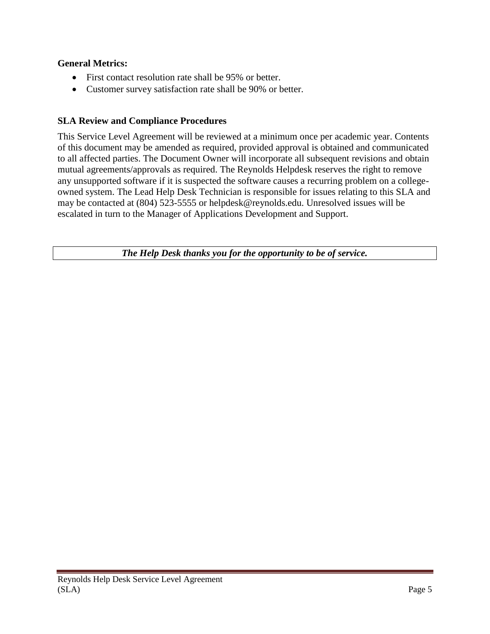## **General Metrics:**

- First contact resolution rate shall be 95% or better.
- Customer survey satisfaction rate shall be 90% or better.

## <span id="page-4-0"></span>**SLA Review and Compliance Procedures**

This Service Level Agreement will be reviewed at a minimum once per academic year. Contents of this document may be amended as required, provided approval is obtained and communicated to all affected parties. The Document Owner will incorporate all subsequent revisions and obtain mutual agreements/approvals as required. The Reynolds Helpdesk reserves the right to remove any unsupported software if it is suspected the software causes a recurring problem on a collegeowned system. The Lead Help Desk Technician is responsible for issues relating to this SLA and may be contacted at (804) 523-5555 or helpdesk@reynolds.edu. Unresolved issues will be escalated in turn to the Manager of Applications Development and Support.

*The Help Desk thanks you for the opportunity to be of service.*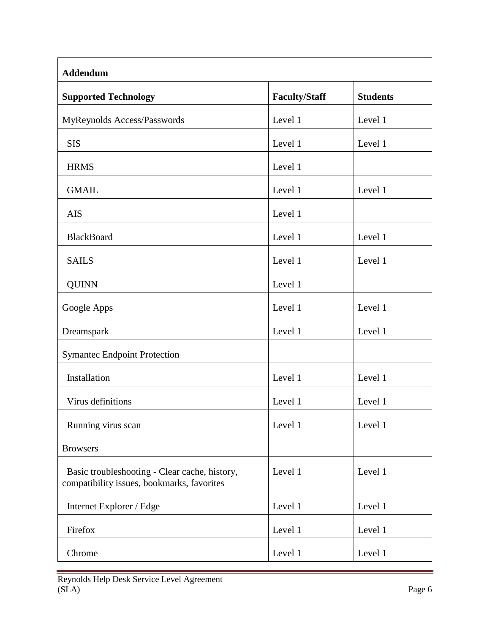<span id="page-5-0"></span>

| <b>Addendum</b>                                                                             |                      |                 |  |
|---------------------------------------------------------------------------------------------|----------------------|-----------------|--|
| <b>Supported Technology</b>                                                                 | <b>Faculty/Staff</b> | <b>Students</b> |  |
| MyReynolds Access/Passwords                                                                 | Level 1              | Level 1         |  |
| <b>SIS</b>                                                                                  | Level 1              | Level 1         |  |
| <b>HRMS</b>                                                                                 | Level 1              |                 |  |
| <b>GMAIL</b>                                                                                | Level 1              | Level 1         |  |
| <b>AIS</b>                                                                                  | Level 1              |                 |  |
| <b>BlackBoard</b>                                                                           | Level 1              | Level 1         |  |
| <b>SAILS</b>                                                                                | Level 1              | Level 1         |  |
| <b>QUINN</b>                                                                                | Level 1              |                 |  |
| Google Apps                                                                                 | Level 1              | Level 1         |  |
| Dreamspark                                                                                  | Level 1              | Level 1         |  |
| <b>Symantec Endpoint Protection</b>                                                         |                      |                 |  |
| Installation                                                                                | Level 1              | Level 1         |  |
| Virus definitions                                                                           | Level 1              | Level 1         |  |
| Running virus scan                                                                          | Level 1              | Level 1         |  |
| <b>Browsers</b>                                                                             |                      |                 |  |
| Basic troubleshooting - Clear cache, history,<br>compatibility issues, bookmarks, favorites | Level 1              | Level 1         |  |
| Internet Explorer / Edge                                                                    | Level 1              | Level 1         |  |
| Firefox                                                                                     | Level 1              | Level 1         |  |
| Chrome                                                                                      | Level 1              | Level 1         |  |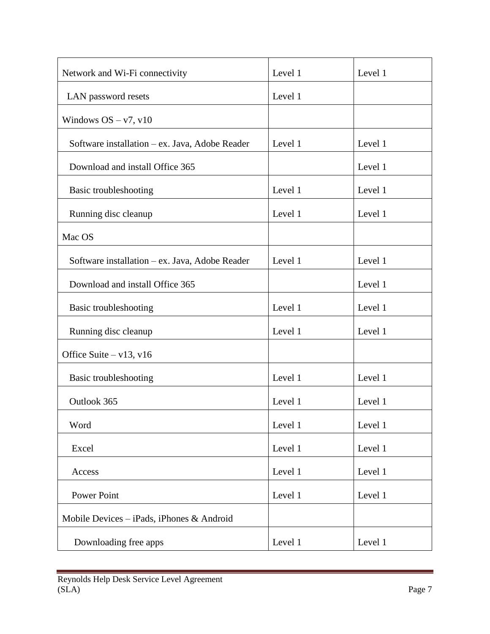| Network and Wi-Fi connectivity                 | Level 1 | Level 1 |
|------------------------------------------------|---------|---------|
| LAN password resets                            | Level 1 |         |
| Windows $OS - v7$ , v10                        |         |         |
| Software installation – ex. Java, Adobe Reader | Level 1 | Level 1 |
| Download and install Office 365                |         | Level 1 |
| Basic troubleshooting                          | Level 1 | Level 1 |
| Running disc cleanup                           | Level 1 | Level 1 |
| Mac OS                                         |         |         |
| Software installation - ex. Java, Adobe Reader | Level 1 | Level 1 |
| Download and install Office 365                |         | Level 1 |
| Basic troubleshooting                          | Level 1 | Level 1 |
| Running disc cleanup                           | Level 1 | Level 1 |
| Office Suite $-v13$ , v16                      |         |         |
| Basic troubleshooting                          | Level 1 | Level 1 |
| Outlook 365                                    | Level 1 | Level 1 |
| Word                                           | Level 1 | Level 1 |
| Excel                                          | Level 1 | Level 1 |
| Access                                         | Level 1 | Level 1 |
| <b>Power Point</b>                             | Level 1 | Level 1 |
| Mobile Devices $-$ iPads, iPhones & Android    |         |         |
| Downloading free apps                          | Level 1 | Level 1 |